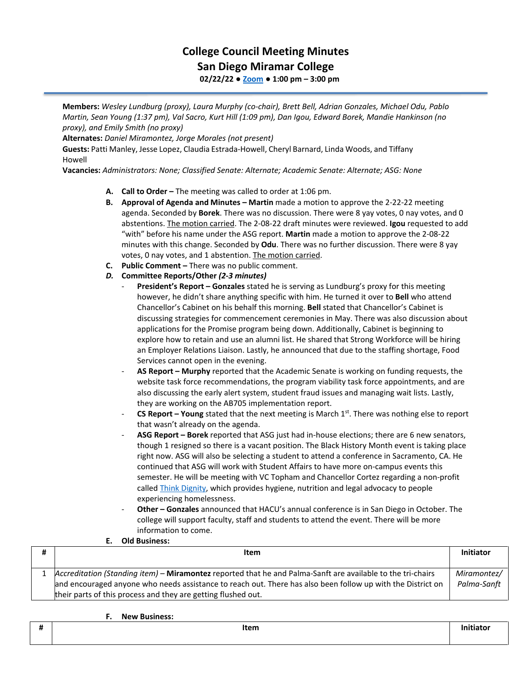## **College Council Meeting Minutes San Diego Miramar College**

**02/22/22 ● [Zoom](https://cccconfer.zoom.us/j/92354948089?pwd=clQvQ3pSdi84K2xTSnVLN1UyOXhpQT09) ● 1:00 pm – 3:00 pm**

**Members:** *Wesley Lundburg (proxy), Laura Murphy (co-chair), Brett Bell, Adrian Gonzales, Michael Odu, Pablo Martin, Sean Young (1:37 pm), Val Sacro, Kurt Hill (1:09 pm), Dan Igou, Edward Borek, Mandie Hankinson (no proxy), and Emily Smith (no proxy)*

**Alternates:** *Daniel Miramontez, Jorge Morales (not present)*

**Guests:** Patti Manley, Jesse Lopez, Claudia Estrada-Howell, Cheryl Barnard, Linda Woods, and Tiffany Howell

**Vacancies:** *Administrators: None; Classified Senate: Alternate; Academic Senate: Alternate; ASG: None*

- **A. Call to Order –** The meeting was called to order at 1:06 pm.
- **B. Approval of Agenda and Minutes – Martin** made a motion to approve the 2-22-22 meeting agenda. Seconded by **Borek**. There was no discussion. There were 8 yay votes, 0 nay votes, and 0 abstentions. The motion carried. The 2-08-22 draft minutes were reviewed. **Igou** requested to add "with" before his name under the ASG report. **Martin** made a motion to approve the 2-08-22 minutes with this change. Seconded by **Odu**. There was no further discussion. There were 8 yay votes, 0 nay votes, and 1 abstention. The motion carried.
- **C. Public Comment –** There was no public comment.

## *D.* **Committee Reports/Other** *(2-3 minutes)*

- **President's Report – Gonzales** stated he is serving as Lundburg's proxy for this meeting however, he didn't share anything specific with him. He turned it over to **Bell** who attend Chancellor's Cabinet on his behalf this morning. **Bell** stated that Chancellor's Cabinet is discussing strategies for commencement ceremonies in May. There was also discussion about applications for the Promise program being down. Additionally, Cabinet is beginning to explore how to retain and use an alumni list. He shared that Strong Workforce will be hiring an Employer Relations Liaison. Lastly, he announced that due to the staffing shortage, Food Services cannot open in the evening.
- **AS Report – Murphy** reported that the Academic Senate is working on funding requests, the website task force recommendations, the program viability task force appointments, and are also discussing the early alert system, student fraud issues and managing wait lists. Lastly, they are working on the AB705 implementation report.
- **CS Report Young** stated that the next meeting is March 1st. There was nothing else to report that wasn't already on the agenda.
- **ASG Report – Borek** reported that ASG just had in-house elections; there are 6 new senators, though 1 resigned so there is a vacant position. The Black History Month event is taking place right now. ASG will also be selecting a student to attend a conference in Sacramento, CA. He continued that ASG will work with Student Affairs to have more on-campus events this semester. He will be meeting with VC Topham and Chancellor Cortez regarding a non-profit called [Think Dignity,](https://www.thinkdignity.org/) which provides hygiene, nutrition and legal advocacy to people experiencing homelessness.
- **Other – Gonzales** announced that HACU's annual conference is in San Diego in October. The college will support faculty, staff and students to attend the event. There will be more information to come.

## **E. Old Business:**

| Item                                                                                                                                                                                                                                                                                        | <b>Initiator</b>           |
|---------------------------------------------------------------------------------------------------------------------------------------------------------------------------------------------------------------------------------------------------------------------------------------------|----------------------------|
| Accreditation (Standing item) - Miramontez reported that he and Palma-Sanft are available to the tri-chairs<br>and encouraged anyone who needs assistance to reach out. There has also been follow up with the District on<br>their parts of this process and they are getting flushed out. | Miramontez/<br>Palma-Sanft |

**F. New Business:**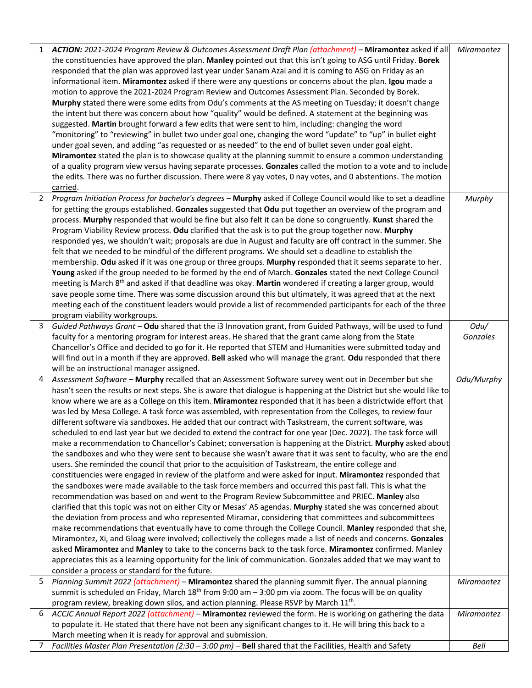| 1              | ACTION: 2021-2024 Program Review & Outcomes Assessment Draft Plan (attachment) - Miramontez asked if all                | Miramontez |
|----------------|-------------------------------------------------------------------------------------------------------------------------|------------|
|                | the constituencies have approved the plan. Manley pointed out that this isn't going to ASG until Friday. Borek          |            |
|                | responded that the plan was approved last year under Sanam Azai and it is coming to ASG on Friday as an                 |            |
|                | informational item. Miramontez asked if there were any questions or concerns about the plan. Igou made a                |            |
|                | motion to approve the 2021-2024 Program Review and Outcomes Assessment Plan. Seconded by Borek.                         |            |
|                | Murphy stated there were some edits from Odu's comments at the AS meeting on Tuesday; it doesn't change                 |            |
|                | the intent but there was concern about how "quality" would be defined. A statement at the beginning was                 |            |
|                | suggested. Martin brought forward a few edits that were sent to him, including: changing the word                       |            |
|                | "monitoring" to "reviewing" in bullet two under goal one, changing the word "update" to "up" in bullet eight            |            |
|                | under goal seven, and adding "as requested or as needed" to the end of bullet seven under goal eight.                   |            |
|                | Miramontez stated the plan is to showcase quality at the planning summit to ensure a common understanding               |            |
|                | of a quality program view versus having separate processes. Gonzales called the motion to a vote and to include         |            |
|                | the edits. There was no further discussion. There were 8 yay votes, 0 nay votes, and 0 abstentions. The motion          |            |
|                | carried.                                                                                                                |            |
| $\overline{2}$ | Program Initiation Process for bachelor's degrees - Murphy asked if College Council would like to set a deadline        | Murphy     |
|                | for getting the groups established. Gonzales suggested that Odu put together an overview of the program and             |            |
|                | process. Murphy responded that would be fine but also felt it can be done so congruently. Kunst shared the              |            |
|                | Program Viability Review process. Odu clarified that the ask is to put the group together now. Murphy                   |            |
|                | responded yes, we shouldn't wait; proposals are due in August and faculty are off contract in the summer. She           |            |
|                | felt that we needed to be mindful of the different programs. We should set a deadline to establish the                  |            |
|                | membership. Odu asked if it was one group or three groups. Murphy responded that it seems separate to her.              |            |
|                | Young asked if the group needed to be formed by the end of March. Gonzales stated the next College Council              |            |
|                | meeting is March 8 <sup>th</sup> and asked if that deadline was okay. Martin wondered if creating a larger group, would |            |
|                | save people some time. There was some discussion around this but ultimately, it was agreed that at the next             |            |
|                | meeting each of the constituent leaders would provide a list of recommended participants for each of the three          |            |
|                | program viability workgroups.                                                                                           |            |
| 3              | Guided Pathways Grant - Odu shared that the i3 Innovation grant, from Guided Pathways, will be used to fund             | Odu/       |
|                | faculty for a mentoring program for interest areas. He shared that the grant came along from the State                  | Gonzales   |
|                | Chancellor's Office and decided to go for it. He reported that STEM and Humanities were submitted today and             |            |
|                | will find out in a month if they are approved. Bell asked who will manage the grant. Odu responded that there           |            |
|                | will be an instructional manager assigned.                                                                              |            |
| 4              | Assessment Software - Murphy recalled that an Assessment Software survey went out in December but she                   | Odu/Murphy |
|                | hasn't seen the results or next steps. She is aware that dialogue is happening at the District but she would like to    |            |
|                | know where we are as a College on this item. Miramontez responded that it has been a districtwide effort that           |            |
|                | was led by Mesa College. A task force was assembled, with representation from the Colleges, to review four              |            |
|                | different software via sandboxes. He added that our contract with Taskstream, the current software, was                 |            |
|                | scheduled to end last year but we decided to extend the contract for one year (Dec. 2022). The task force will          |            |
|                | make a recommendation to Chancellor's Cabinet; conversation is happening at the District. Murphy asked about            |            |
|                | the sandboxes and who they were sent to because she wasn't aware that it was sent to faculty, who are the end           |            |
|                | users. She reminded the council that prior to the acquisition of Taskstream, the entire college and                     |            |
|                | constituencies were engaged in review of the platform and were asked for input. Miramontez responded that               |            |
|                | the sandboxes were made available to the task force members and occurred this past fall. This is what the               |            |
|                | recommendation was based on and went to the Program Review Subcommittee and PRIEC. Manley also                          |            |
|                | clarified that this topic was not on either City or Mesas' AS agendas. Murphy stated she was concerned about            |            |
|                | the deviation from process and who represented Miramar, considering that committees and subcommittees                   |            |
|                | make recommendations that eventually have to come through the College Council. Manley responded that she,               |            |
|                | Miramontez, Xi, and Gloag were involved; collectively the colleges made a list of needs and concerns. Gonzales          |            |
|                | asked Miramontez and Manley to take to the concerns back to the task force. Miramontez confirmed. Manley                |            |
|                | appreciates this as a learning opportunity for the link of communication. Gonzales added that we may want to            |            |
|                | consider a process or standard for the future.                                                                          |            |
| 5              | Planning Summit 2022 (attachment) - Miramontez shared the planning summit flyer. The annual planning                    | Miramontez |
|                | summit is scheduled on Friday, March 18 <sup>th</sup> from 9:00 am $-$ 3:00 pm via zoom. The focus will be on quality   |            |
|                | program review, breaking down silos, and action planning. Please RSVP by March 11 <sup>th</sup> .                       |            |
| 6              | ACCJC Annual Report 2022 (attachment) – Miramontez reviewed the form. He is working on gathering the data               | Miramontez |
|                | to populate it. He stated that there have not been any significant changes to it. He will bring this back to a          |            |
|                | March meeting when it is ready for approval and submission.                                                             |            |
| 7              | Facilities Master Plan Presentation (2:30 - 3:00 pm) - Bell shared that the Facilities, Health and Safety               | Bell       |